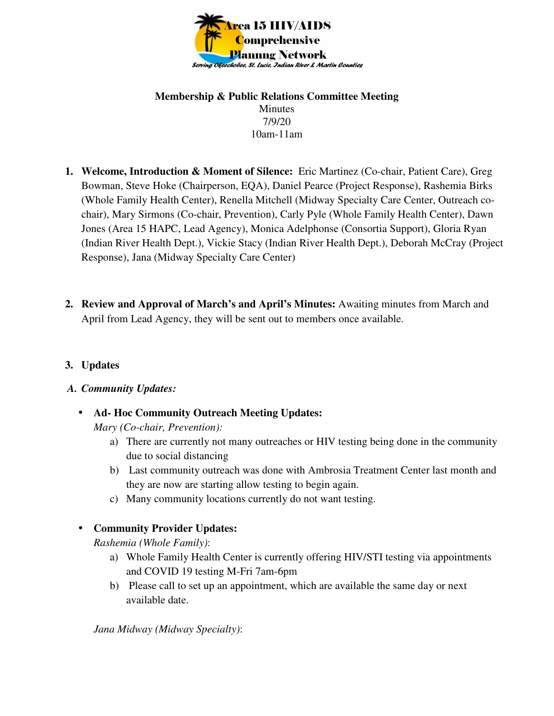

#### **Membership & Public Relations Committee Meeting**  Minutes 7/9/20 10am-11am

- **1. Welcome, Introduction & Moment of Silence:** Eric Martinez (Co-chair, Patient Care), Greg Bowman, Steve Hoke (Chairperson, EQA), Daniel Pearce (Project Response), Rashemia Birks (Whole Family Health Center), Renella Mitchell (Midway Specialty Care Center, Outreach cochair), Mary Sirmons (Co-chair, Prevention), Carly Pyle (Whole Family Health Center), Dawn Jones (Area 15 HAPC, Lead Agency), Monica Adelphonse (Consortia Support), Gloria Ryan (Indian River Health Dept.), Vickie Stacy (Indian River Health Dept.), Deborah McCray (Project Response), Jana (Midway Specialty Care Center)
- **2. Review and Approval of March's and April's Minutes:** Awaiting minutes from March and April from Lead Agency, they will be sent out to members once available.

## **3. Updates**

## *A. Community Updates:*

- **Ad- Hoc Community Outreach Meeting Updates:**  *Mary (Co-chair, Prevention):* 
	- a) There are currently not many outreaches or HIV testing being done in the community due to social distancing
	- b) Last community outreach was done with Ambrosia Treatment Center last month and they are now are starting allow testing to begin again.
	- c) Many community locations currently do not want testing.
- **Community Provider Updates:**

*Rashemia (Whole Family)*:

- a) Whole Family Health Center is currently offering HIV/STI testing via appointments and COVID 19 testing M-Fri 7am-6pm
- b) Please call to set up an appointment, which are available the same day or next available date.

*Jana Midway (Midway Specialty)*: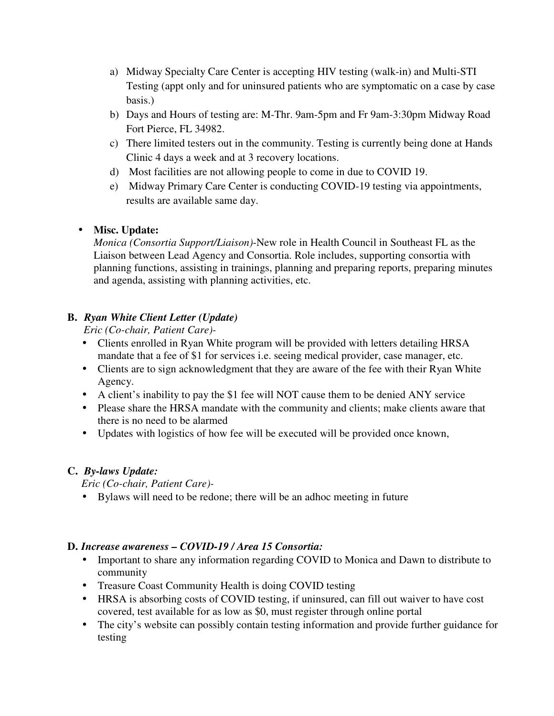- a) Midway Specialty Care Center is accepting HIV testing (walk-in) and Multi-STI Testing (appt only and for uninsured patients who are symptomatic on a case by case basis.)
- b) Days and Hours of testing are: M-Thr. 9am-5pm and Fr 9am-3:30pm Midway Road Fort Pierce, FL 34982.
- c) There limited testers out in the community. Testing is currently being done at Hands Clinic 4 days a week and at 3 recovery locations.
- d) Most facilities are not allowing people to come in due to COVID 19.
- e) Midway Primary Care Center is conducting COVID-19 testing via appointments, results are available same day.

# • **Misc. Update:**

*Monica (Consortia Support/Liaison)*-New role in Health Council in Southeast FL as the Liaison between Lead Agency and Consortia. Role includes, supporting consortia with planning functions, assisting in trainings, planning and preparing reports, preparing minutes and agenda, assisting with planning activities, etc.

# **B.** *Ryan White Client Letter (Update)*

*Eric (Co-chair, Patient Care)-* 

- Clients enrolled in Ryan White program will be provided with letters detailing HRSA mandate that a fee of \$1 for services i.e. seeing medical provider, case manager, etc.
- Clients are to sign acknowledgment that they are aware of the fee with their Ryan White Agency.
- A client's inability to pay the \$1 fee will NOT cause them to be denied ANY service
- Please share the HRSA mandate with the community and clients; make clients aware that there is no need to be alarmed
- Updates with logistics of how fee will be executed will be provided once known,

# **C.** *By-laws Update:*

*Eric (Co-chair, Patient Care)-* 

• Bylaws will need to be redone; there will be an adhoc meeting in future

# **D.** *Increase awareness – COVID-19 / Area 15 Consortia:*

- Important to share any information regarding COVID to Monica and Dawn to distribute to community
- Treasure Coast Community Health is doing COVID testing
- HRSA is absorbing costs of COVID testing, if uninsured, can fill out waiver to have cost covered, test available for as low as \$0, must register through online portal
- The city's website can possibly contain testing information and provide further guidance for testing